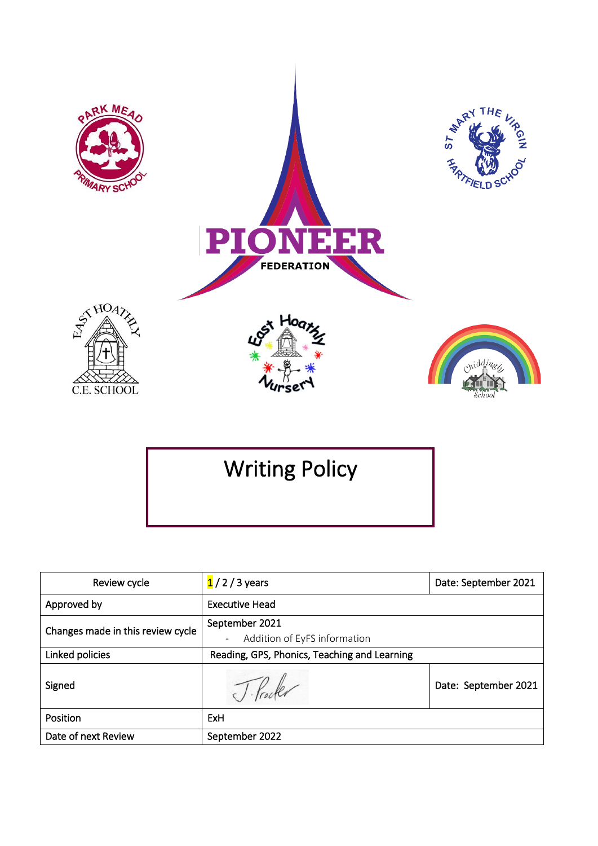

School

# Writing Policy

| Review cycle                      | $1/2/3$ years                                | Date: September 2021 |
|-----------------------------------|----------------------------------------------|----------------------|
| Approved by                       | <b>Executive Head</b>                        |                      |
| Changes made in this review cycle | September 2021                               |                      |
|                                   | Addition of EyFS information                 |                      |
| Linked policies                   | Reading, GPS, Phonics, Teaching and Learning |                      |
| Signed                            |                                              | Date: September 2021 |
| Position                          | <b>ExH</b>                                   |                      |
| Date of next Review               | September 2022                               |                      |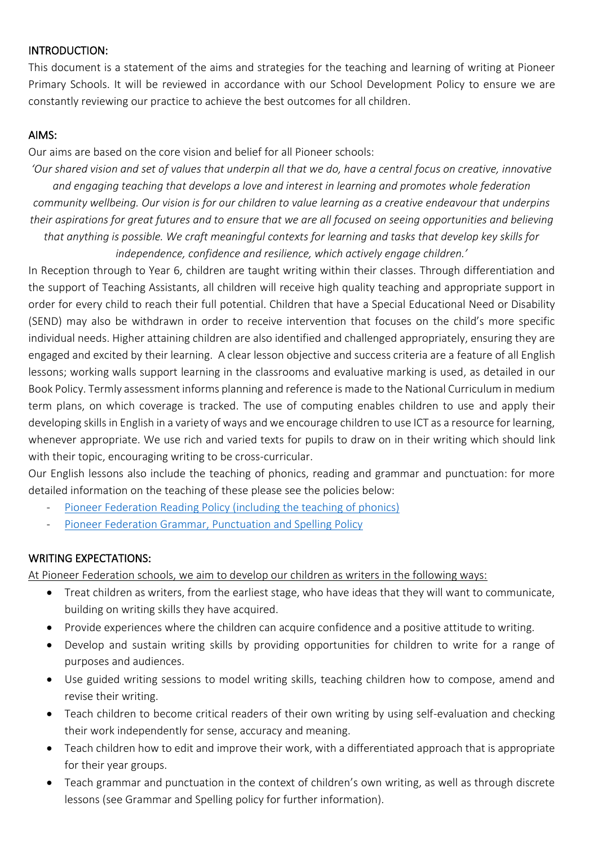#### INTRODUCTION:

This document is a statement of the aims and strategies for the teaching and learning of writing at Pioneer Primary Schools. It will be reviewed in accordance with our School Development Policy to ensure we are constantly reviewing our practice to achieve the best outcomes for all children.

#### AIMS:

Our aims are based on the core vision and belief for all Pioneer schools:

*'Our shared vision and set of values that underpin all that we do, have a central focus on creative, innovative and engaging teaching that develops a love and interest in learning and promotes whole federation community wellbeing. Our vision is for our children to value learning as a creative endeavour that underpins their aspirations for great futures and to ensure that we are all focused on seeing opportunities and believing that anything is possible. We craft meaningful contexts for learning and tasks that develop key skills for independence, confidence and resilience, which actively engage children.'*

In Reception through to Year 6, children are taught writing within their classes. Through differentiation and the support of Teaching Assistants, all children will receive high quality teaching and appropriate support in order for every child to reach their full potential. Children that have a Special Educational Need or Disability (SEND) may also be withdrawn in order to receive intervention that focuses on the child's more specific individual needs. Higher attaining children are also identified and challenged appropriately, ensuring they are engaged and excited by their learning. A clear lesson objective and success criteria are a feature of all English lessons; working walls support learning in the classrooms and evaluative marking is used, as detailed in our Book Policy. Termly assessment informs planning and reference is made to the National Curriculum in medium term plans, on which coverage is tracked. The use of computing enables children to use and apply their developing skills in English in a variety of ways and we encourage children to use ICT as a resource for learning, whenever appropriate. We use rich and varied texts for pupils to draw on in their writing which should link with their topic, encouraging writing to be cross-curricular.

Our English lessons also include the teaching of phonics, reading and grammar and punctuation: for more detailed information on the teaching of these please see the policies below:

- [Pioneer Federation Reading Policy \(including the teaching of phonics\)](https://www.pioneerfederation.co.uk/wp-content/uploads/2019/12/English-Policy-Reading.pdf)
- [Pioneer Federation Grammar, Punctuation and Spelling Policy](https://www.pioneerfederation.co.uk/wp-content/uploads/2019/10/Grammar-Punctuation-Spelling-Policy.pdf)

#### WRITING EXPECTATIONS:

At Pioneer Federation schools, we aim to develop our children as writers in the following ways:

- Treat children as writers, from the earliest stage, who have ideas that they will want to communicate, building on writing skills they have acquired.
- Provide experiences where the children can acquire confidence and a positive attitude to writing.
- Develop and sustain writing skills by providing opportunities for children to write for a range of purposes and audiences.
- Use guided writing sessions to model writing skills, teaching children how to compose, amend and revise their writing.
- Teach children to become critical readers of their own writing by using self-evaluation and checking their work independently for sense, accuracy and meaning.
- Teach children how to edit and improve their work, with a differentiated approach that is appropriate for their year groups.
- Teach grammar and punctuation in the context of children's own writing, as well as through discrete lessons (see Grammar and Spelling policy for further information).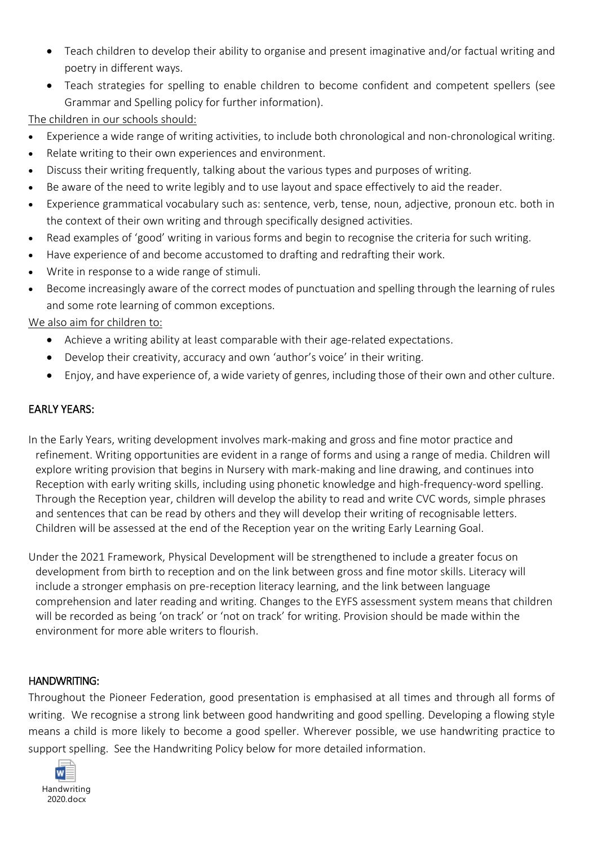- Teach children to develop their ability to organise and present imaginative and/or factual writing and poetry in different ways.
- Teach strategies for spelling to enable children to become confident and competent spellers (see Grammar and Spelling policy for further information).

The children in our schools should:

- Experience a wide range of writing activities, to include both chronological and non-chronological writing.
- Relate writing to their own experiences and environment.
- Discuss their writing frequently, talking about the various types and purposes of writing.
- Be aware of the need to write legibly and to use layout and space effectively to aid the reader.
- Experience grammatical vocabulary such as: sentence, verb, tense, noun, adjective, pronoun etc. both in the context of their own writing and through specifically designed activities.
- Read examples of 'good' writing in various forms and begin to recognise the criteria for such writing.
- Have experience of and become accustomed to drafting and redrafting their work.
- Write in response to a wide range of stimuli.
- Become increasingly aware of the correct modes of punctuation and spelling through the learning of rules and some rote learning of common exceptions.

We also aim for children to:

- Achieve a writing ability at least comparable with their age-related expectations.
- Develop their creativity, accuracy and own 'author's voice' in their writing.
- Enjoy, and have experience of, a wide variety of genres, including those of their own and other culture.

## EARLY YEARS:

In the Early Years, writing development involves mark-making and gross and fine motor practice and refinement. Writing opportunities are evident in a range of forms and using a range of media. Children will explore writing provision that begins in Nursery with mark-making and line drawing, and continues into Reception with early writing skills, including using phonetic knowledge and high-frequency-word spelling. Through the Reception year, children will develop the ability to read and write CVC words, simple phrases and sentences that can be read by others and they will develop their writing of recognisable letters. Children will be assessed at the end of the Reception year on the writing Early Learning Goal.

Under the 2021 Framework, Physical Development will be strengthened to include a greater focus on development from birth to reception and on the link between gross and fine motor skills. Literacy will include a stronger emphasis on pre-reception literacy learning, and the link between language comprehension and later reading and writing. Changes to the EYFS assessment system means that children will be recorded as being 'on track' or 'not on track' for writing. Provision should be made within the environment for more able writers to flourish.

## HANDWRITING:

Throughout the Pioneer Federation, good presentation is emphasised at all times and through all forms of writing. We recognise a strong link between good handwriting and good spelling. Developing a flowing style means a child is more likely to become a good speller. Wherever possible, we use handwriting practice to support spelling. See the Handwriting Policy below for more detailed information.